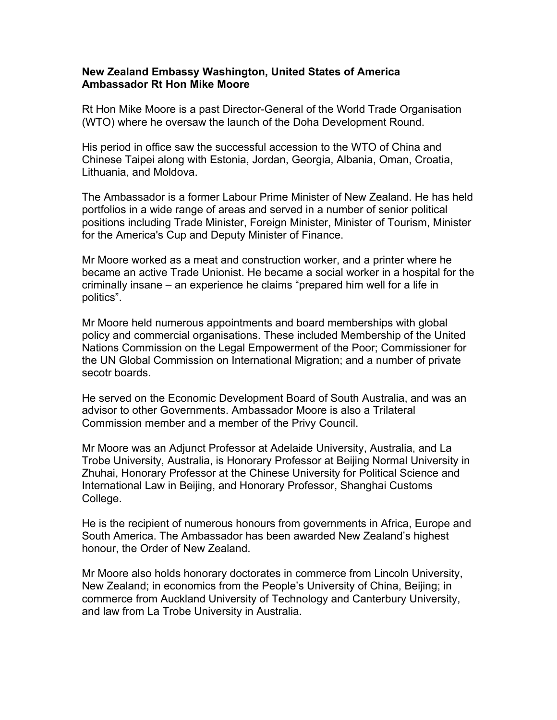## **New Zealand Embassy Washington, United States of America Ambassador Rt Hon Mike Moore**

Rt Hon Mike Moore is a past Director-General of the World Trade Organisation (WTO) where he oversaw the launch of the Doha Development Round.

His period in office saw the successful accession to the WTO of China and Chinese Taipei along with Estonia, Jordan, Georgia, Albania, Oman, Croatia, Lithuania, and Moldova.

The Ambassador is a former Labour Prime Minister of New Zealand. He has held portfolios in a wide range of areas and served in a number of senior political positions including Trade Minister, Foreign Minister, Minister of Tourism, Minister for the America's Cup and Deputy Minister of Finance.

Mr Moore worked as a meat and construction worker, and a printer where he became an active Trade Unionist. He became a social worker in a hospital for the criminally insane – an experience he claims "prepared him well for a life in politics".

Mr Moore held numerous appointments and board memberships with global policy and commercial organisations. These included Membership of the United Nations Commission on the Legal Empowerment of the Poor; Commissioner for the UN Global Commission on International Migration; and a number of private secotr boards.

He served on the Economic Development Board of South Australia, and was an advisor to other Governments. Ambassador Moore is also a Trilateral Commission member and a member of the Privy Council.

Mr Moore was an Adjunct Professor at Adelaide University, Australia, and La Trobe University, Australia, is Honorary Professor at Beijing Normal University in Zhuhai, Honorary Professor at the Chinese University for Political Science and International Law in Beijing, and Honorary Professor, Shanghai Customs College.

He is the recipient of numerous honours from governments in Africa, Europe and South America. The Ambassador has been awarded New Zealand's highest honour, the Order of New Zealand.

Mr Moore also holds honorary doctorates in commerce from Lincoln University, New Zealand; in economics from the People's University of China, Beijing; in commerce from Auckland University of Technology and Canterbury University, and law from La Trobe University in Australia.